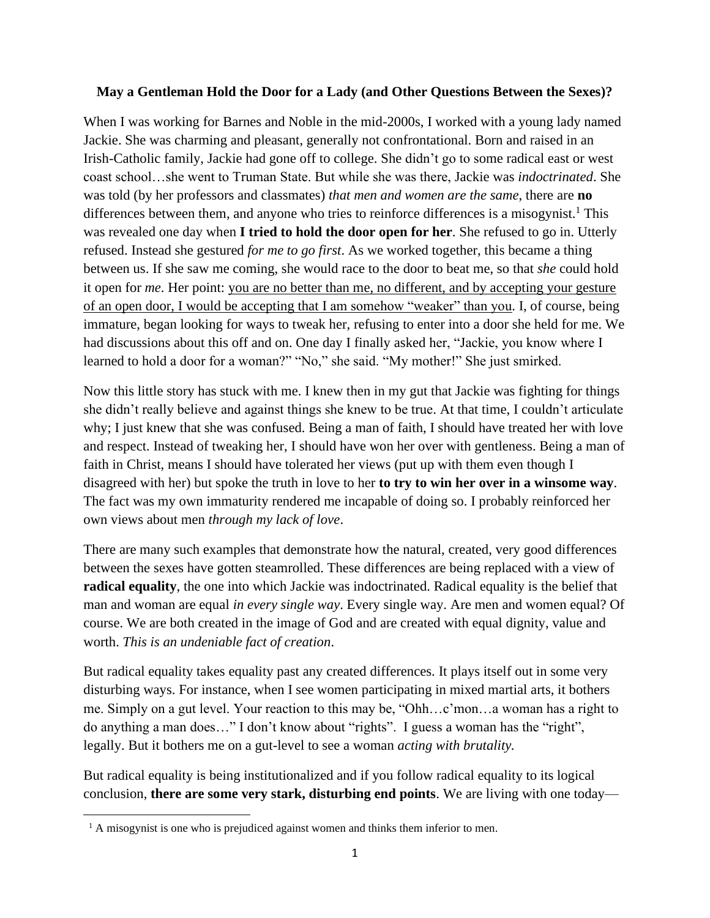## **May a Gentleman Hold the Door for a Lady (and Other Questions Between the Sexes)?**

When I was working for Barnes and Noble in the mid-2000s, I worked with a young lady named Jackie. She was charming and pleasant, generally not confrontational. Born and raised in an Irish-Catholic family, Jackie had gone off to college. She didn't go to some radical east or west coast school…she went to Truman State. But while she was there, Jackie was *indoctrinated*. She was told (by her professors and classmates) *that men and women are the same*, there are **no** differences between them, and anyone who tries to reinforce differences is a misogynist.<sup>1</sup> This was revealed one day when **I tried to hold the door open for her**. She refused to go in. Utterly refused. Instead she gestured *for me to go first*. As we worked together, this became a thing between us. If she saw me coming, she would race to the door to beat me, so that *she* could hold it open for *me*. Her point: you are no better than me, no different, and by accepting your gesture of an open door, I would be accepting that I am somehow "weaker" than you. I, of course, being immature, began looking for ways to tweak her, refusing to enter into a door she held for me. We had discussions about this off and on. One day I finally asked her, "Jackie, you know where I learned to hold a door for a woman?" "No," she said. "My mother!" She just smirked.

Now this little story has stuck with me. I knew then in my gut that Jackie was fighting for things she didn't really believe and against things she knew to be true. At that time, I couldn't articulate why; I just knew that she was confused. Being a man of faith, I should have treated her with love and respect. Instead of tweaking her, I should have won her over with gentleness. Being a man of faith in Christ, means I should have tolerated her views (put up with them even though I disagreed with her) but spoke the truth in love to her **to try to win her over in a winsome way**. The fact was my own immaturity rendered me incapable of doing so. I probably reinforced her own views about men *through my lack of love*.

There are many such examples that demonstrate how the natural, created, very good differences between the sexes have gotten steamrolled. These differences are being replaced with a view of **radical equality**, the one into which Jackie was indoctrinated. Radical equality is the belief that man and woman are equal *in every single way*. Every single way. Are men and women equal? Of course. We are both created in the image of God and are created with equal dignity, value and worth. *This is an undeniable fact of creation*.

But radical equality takes equality past any created differences. It plays itself out in some very disturbing ways. For instance, when I see women participating in mixed martial arts, it bothers me. Simply on a gut level. Your reaction to this may be, "Ohh…c'mon…a woman has a right to do anything a man does…" I don't know about "rights". I guess a woman has the "right", legally. But it bothers me on a gut-level to see a woman *acting with brutality.* 

But radical equality is being institutionalized and if you follow radical equality to its logical conclusion, **there are some very stark, disturbing end points**. We are living with one today—

<sup>&</sup>lt;sup>1</sup> A misogynist is one who is prejudiced against women and thinks them inferior to men.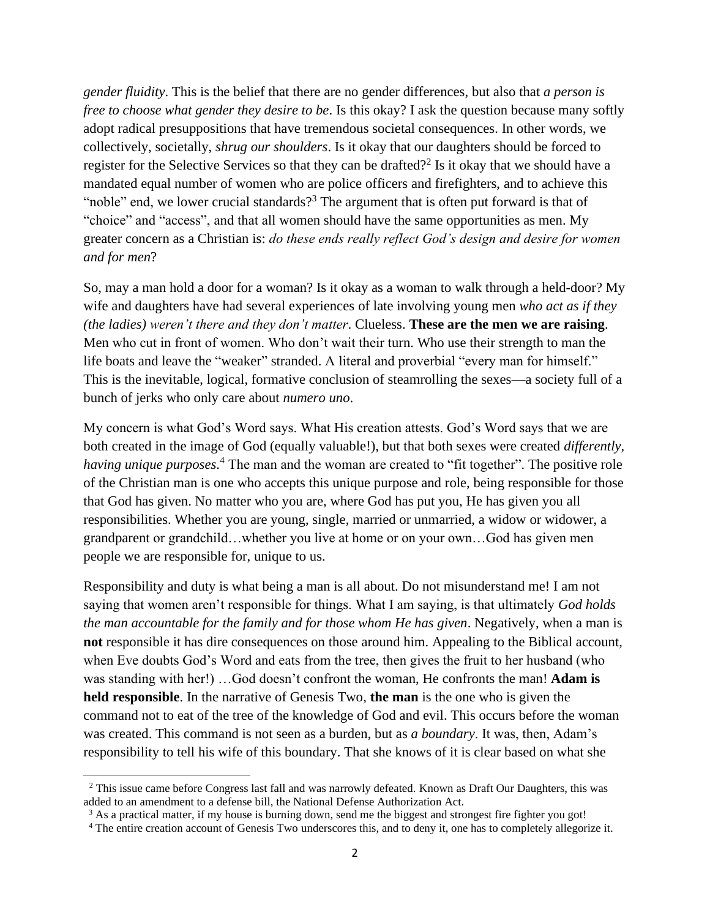*gender fluidity*. This is the belief that there are no gender differences, but also that *a person is free to choose what gender they desire to be*. Is this okay? I ask the question because many softly adopt radical presuppositions that have tremendous societal consequences. In other words, we collectively, societally, *shrug our shoulders*. Is it okay that our daughters should be forced to register for the Selective Services so that they can be drafted?<sup>2</sup> Is it okay that we should have a mandated equal number of women who are police officers and firefighters, and to achieve this "noble" end, we lower crucial standards?<sup>3</sup> The argument that is often put forward is that of "choice" and "access", and that all women should have the same opportunities as men. My greater concern as a Christian is: *do these ends really reflect God's design and desire for women and for men*?

So, may a man hold a door for a woman? Is it okay as a woman to walk through a held-door? My wife and daughters have had several experiences of late involving young men *who act as if they (the ladies) weren't there and they don't matter*. Clueless. **These are the men we are raising**. Men who cut in front of women. Who don't wait their turn. Who use their strength to man the life boats and leave the "weaker" stranded. A literal and proverbial "every man for himself." This is the inevitable, logical, formative conclusion of steamrolling the sexes—a society full of a bunch of jerks who only care about *numero uno*.

My concern is what God's Word says. What His creation attests. God's Word says that we are both created in the image of God (equally valuable!), but that both sexes were created *differently,*  having unique purposes.<sup>4</sup> The man and the woman are created to "fit together". The positive role of the Christian man is one who accepts this unique purpose and role, being responsible for those that God has given. No matter who you are, where God has put you, He has given you all responsibilities. Whether you are young, single, married or unmarried, a widow or widower, a grandparent or grandchild…whether you live at home or on your own…God has given men people we are responsible for, unique to us.

Responsibility and duty is what being a man is all about. Do not misunderstand me! I am not saying that women aren't responsible for things. What I am saying, is that ultimately *God holds the man accountable for the family and for those whom He has given*. Negatively, when a man is **not** responsible it has dire consequences on those around him. Appealing to the Biblical account, when Eve doubts God's Word and eats from the tree, then gives the fruit to her husband (who was standing with her!) …God doesn't confront the woman, He confronts the man! **Adam is held responsible**. In the narrative of Genesis Two, **the man** is the one who is given the command not to eat of the tree of the knowledge of God and evil. This occurs before the woman was created. This command is not seen as a burden, but as *a boundary*. It was, then, Adam's responsibility to tell his wife of this boundary. That she knows of it is clear based on what she

<sup>&</sup>lt;sup>2</sup> This issue came before Congress last fall and was narrowly defeated. Known as Draft Our Daughters, this was added to an amendment to a defense bill, the National Defense Authorization Act.

<sup>&</sup>lt;sup>3</sup> As a practical matter, if my house is burning down, send me the biggest and strongest fire fighter you got!

<sup>4</sup> The entire creation account of Genesis Two underscores this, and to deny it, one has to completely allegorize it.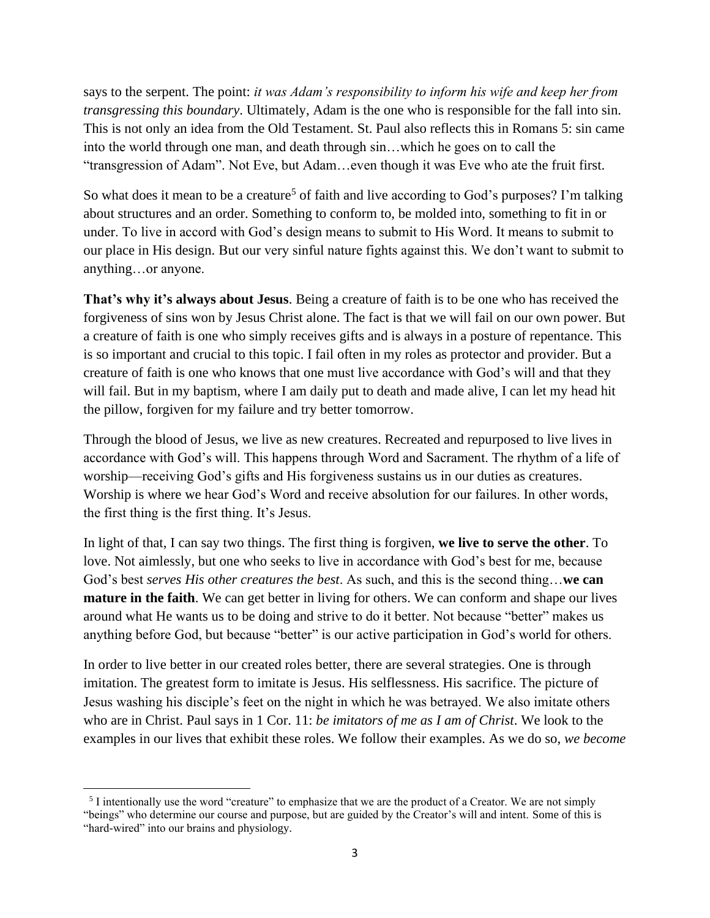says to the serpent. The point: *it was Adam's responsibility to inform his wife and keep her from transgressing this boundary*. Ultimately, Adam is the one who is responsible for the fall into sin. This is not only an idea from the Old Testament. St. Paul also reflects this in Romans 5: sin came into the world through one man, and death through sin…which he goes on to call the "transgression of Adam". Not Eve, but Adam…even though it was Eve who ate the fruit first.

So what does it mean to be a creature<sup>5</sup> of faith and live according to God's purposes? I'm talking about structures and an order. Something to conform to, be molded into, something to fit in or under. To live in accord with God's design means to submit to His Word. It means to submit to our place in His design. But our very sinful nature fights against this. We don't want to submit to anything…or anyone.

**That's why it's always about Jesus**. Being a creature of faith is to be one who has received the forgiveness of sins won by Jesus Christ alone. The fact is that we will fail on our own power. But a creature of faith is one who simply receives gifts and is always in a posture of repentance. This is so important and crucial to this topic. I fail often in my roles as protector and provider. But a creature of faith is one who knows that one must live accordance with God's will and that they will fail. But in my baptism, where I am daily put to death and made alive, I can let my head hit the pillow, forgiven for my failure and try better tomorrow.

Through the blood of Jesus, we live as new creatures. Recreated and repurposed to live lives in accordance with God's will. This happens through Word and Sacrament. The rhythm of a life of worship—receiving God's gifts and His forgiveness sustains us in our duties as creatures. Worship is where we hear God's Word and receive absolution for our failures. In other words, the first thing is the first thing. It's Jesus.

In light of that, I can say two things. The first thing is forgiven, **we live to serve the other**. To love. Not aimlessly, but one who seeks to live in accordance with God's best for me, because God's best *serves His other creatures the best*. As such, and this is the second thing…**we can mature in the faith**. We can get better in living for others. We can conform and shape our lives around what He wants us to be doing and strive to do it better. Not because "better" makes us anything before God, but because "better" is our active participation in God's world for others.

In order to live better in our created roles better, there are several strategies. One is through imitation. The greatest form to imitate is Jesus. His selflessness. His sacrifice. The picture of Jesus washing his disciple's feet on the night in which he was betrayed. We also imitate others who are in Christ. Paul says in 1 Cor. 11: *be imitators of me as I am of Christ*. We look to the examples in our lives that exhibit these roles. We follow their examples. As we do so, *we become* 

<sup>&</sup>lt;sup>5</sup> I intentionally use the word "creature" to emphasize that we are the product of a Creator. We are not simply "beings" who determine our course and purpose, but are guided by the Creator's will and intent. Some of this is "hard-wired" into our brains and physiology.